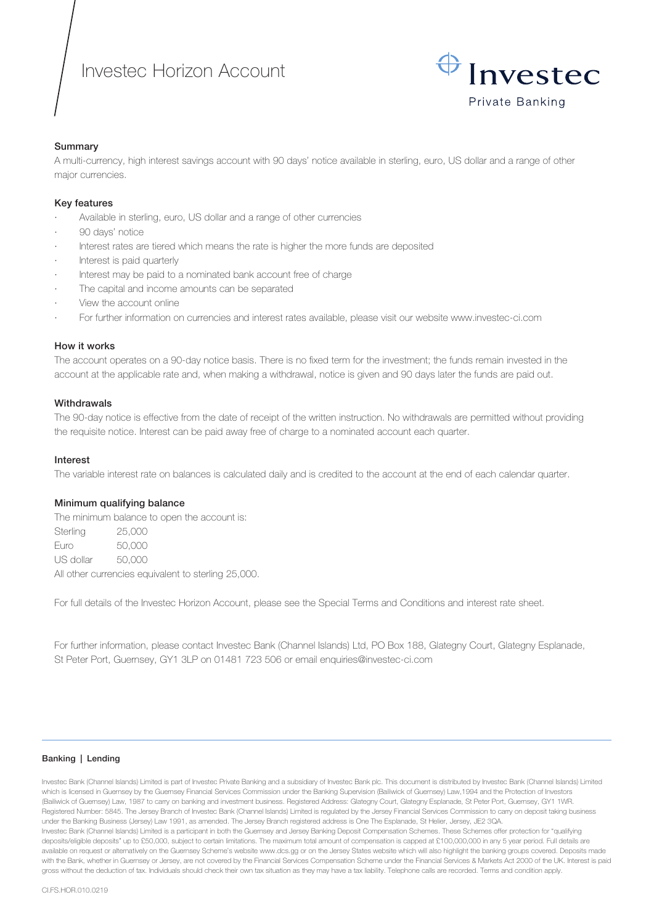# Investec Horizon Account



## Summary

A multi-currency, high interest savings account with 90 days' notice available in sterling, euro, US dollar and a range of other major currencies.

### Key features

- Available in sterling, euro, US dollar and a range of other currencies
- 90 days' notice
- Interest rates are tiered which means the rate is higher the more funds are deposited
- · Interest is paid quarterly
- Interest may be paid to a nominated bank account free of charge
- The capital and income amounts can be separated
- View the account online
- · For further information on currencies and interest rates available, please visit our website www.investec-ci.com

## How it works

The account operates on a 90-day notice basis. There is no fixed term for the investment; the funds remain invested in the account at the applicable rate and, when making a withdrawal, notice is given and 90 days later the funds are paid out.

## **Withdrawals**

The 90-day notice is effective from the date of receipt of the written instruction. No withdrawals are permitted without providing the requisite notice. Interest can be paid away free of charge to a nominated account each quarter.

### Interest

The variable interest rate on balances is calculated daily and is credited to the account at the end of each calendar quarter.

### Minimum qualifying balance

The minimum balance to open the account is: Sterling 25,000 Euro 50,000 US dollar 50,000 All other currencies equivalent to sterling 25,000.

For full details of the Investec Horizon Account, please see the Special Terms and Conditions and interest rate sheet.

For further information, please contact Investec Bank (Channel Islands) Ltd, PO Box 188, Glategny Court, Glategny Esplanade, St Peter Port, Guernsey, GY1 3LP on 01481 723 506 or email enquiries@investec-ci.com

### Banking | Lending

Investec Bank (Channel Islands) Limited is part of Investec Private Banking and a subsidiary of Investec Bank plc. This document is distributed by Investec Bank (Channel Islands) Limited which is licensed in Guernsey by the Guernsey Financial Services Commission under the Banking Supervision (Bailiwick of Guernsey) Law,1994 and the Protection of Investors (Bailiwick of Guernsey) Law, 1987 to carry on banking and investment business. Registered Address: Glategny Court, Glategny Esplanade, St Peter Port, Guernsey, GY1 1WR. Registered Number: 5845. The Jersey Branch of Investec Bank (Channel Islands) Limited is regulated by the Jersey Financial Services Commission to carry on deposit taking business under the Banking Business (Jersey) Law 1991, as amended. The Jersey Branch registered address is One The Esplanade, St Helier, Jersey, JE2 3QA. Investec Bank (Channel Islands) Limited is a participant in both the Guernsey and Jersey Banking Deposit Compensation Schemes. These Schemes offer protection for "qualifying deposits/eligible deposits" up to £50,000, subject to certain limitations. The maximum total amount of compensation is capped at £100,000,000 in any 5 year period. Full details are available on request or alternatively on the Guernsey Scheme's website www.dcs.gg or on the Jersey States website which will also highlight the banking groups covered. Deposits made with the Bank, whether in Guernsey or Jersey, are not covered by the Financial Services Compensation Scheme under the Financial Services & Markets Act 2000 of the UK. Interest is paid gross without the deduction of tax. Individuals should check their own tax situation as they may have a tax liability. Telephone calls are recorded. Terms and condition apply.